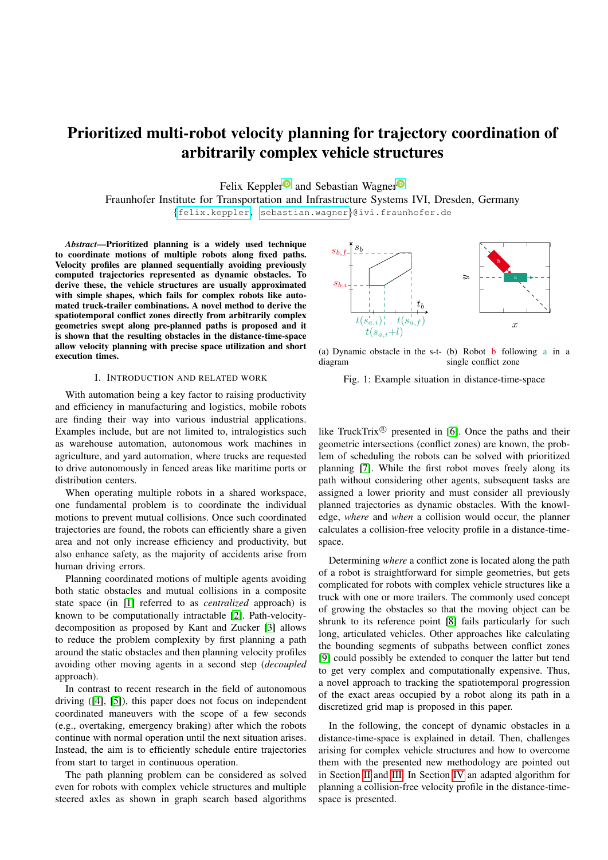# Prioritized multi-robot velocity planning for trajectory coordination of arbitrarily complex vehicle structures

Felix Kepple[r](https://orcid.org/0000-0001-9504-2753)<sup>t</sup> and Sebastian Wagner<sup><sup>®</sup></sup>

Fraunhofer Institute for Transportation and Infrastructure Systems IVI, Dresden, Germany {[felix.keppler,](mailto:felix.keppler@ivi.fraunhofer.de) [sebastian.wagner](mailto:sebastian.wagner@ivi.fraunhofer.de)}@ivi.fraunhofer.de

*Abstract*—Prioritized planning is a widely used technique to coordinate motions of multiple robots along fixed paths. Velocity profiles are planned sequentially avoiding previously computed trajectories represented as dynamic obstacles. To derive these, the vehicle structures are usually approximated with simple shapes, which fails for complex robots like automated truck-trailer combinations. A novel method to derive the spatiotemporal conflict zones directly from arbitrarily complex geometries swept along pre-planned paths is proposed and it is shown that the resulting obstacles in the distance-time-space allow velocity planning with precise space utilization and short execution times.

## I. INTRODUCTION AND RELATED WORK

With automation being a key factor to raising productivity and efficiency in manufacturing and logistics, mobile robots are finding their way into various industrial applications. Examples include, but are not limited to, intralogistics such as warehouse automation, autonomous work machines in agriculture, and yard automation, where trucks are requested to drive autonomously in fenced areas like maritime ports or distribution centers.

When operating multiple robots in a shared workspace, one fundamental problem is to coordinate the individual motions to prevent mutual collisions. Once such coordinated trajectories are found, the robots can efficiently share a given area and not only increase efficiency and productivity, but also enhance safety, as the majority of accidents arise from human driving errors.

Planning coordinated motions of multiple agents avoiding both static obstacles and mutual collisions in a composite state space (in [\[1\]](#page-5-0) referred to as *centralized* approach) is known to be computationally intractable [\[2\]](#page-5-1). Path-velocitydecomposition as proposed by Kant and Zucker [\[3\]](#page-5-2) allows to reduce the problem complexity by first planning a path around the static obstacles and then planning velocity profiles avoiding other moving agents in a second step (*decoupled* approach).

In contrast to recent research in the field of autonomous driving ([\[4\]](#page-5-3), [\[5\]](#page-5-4)), this paper does not focus on independent coordinated maneuvers with the scope of a few seconds (e.g., overtaking, emergency braking) after which the robots continue with normal operation until the next situation arises. Instead, the aim is to efficiently schedule entire trajectories from start to target in continuous operation.

The path planning problem can be considered as solved even for robots with complex vehicle structures and multiple steered axles as shown in graph search based algorithms

<span id="page-0-0"></span>

(a) Dynamic obstacle in the s-t-(b) Robot b following a in a diagram single conflict zone

Fig. 1: Example situation in distance-time-space

like TruckTrix $\mathcal{R}$  presented in [\[6\]](#page-5-5). Once the paths and their geometric intersections (conflict zones) are known, the problem of scheduling the robots can be solved with prioritized planning [\[7\]](#page-5-6). While the first robot moves freely along its path without considering other agents, subsequent tasks are assigned a lower priority and must consider all previously planned trajectories as dynamic obstacles. With the knowledge, *where* and *when* a collision would occur, the planner calculates a collision-free velocity profile in a distance-timespace.

Determining *where* a conflict zone is located along the path of a robot is straightforward for simple geometries, but gets complicated for robots with complex vehicle structures like a truck with one or more trailers. The commonly used concept of growing the obstacles so that the moving object can be shrunk to its reference point [\[8\]](#page-5-7) fails particularly for such long, articulated vehicles. Other approaches like calculating the bounding segments of subpaths between conflict zones [\[9\]](#page-5-8) could possibly be extended to conquer the latter but tend to get very complex and computationally expensive. Thus, a novel approach to tracking the spatiotemporal progression of the exact areas occupied by a robot along its path in a discretized grid map is proposed in this paper.

In the following, the concept of dynamic obstacles in a distance-time-space is explained in detail. Then, challenges arising for complex vehicle structures and how to overcome them with the presented new methodology are pointed out in Section [II](#page-1-0) and [III.](#page-2-0) In Section [IV](#page-3-0) an adapted algorithm for planning a collision-free velocity profile in the distance-timespace is presented.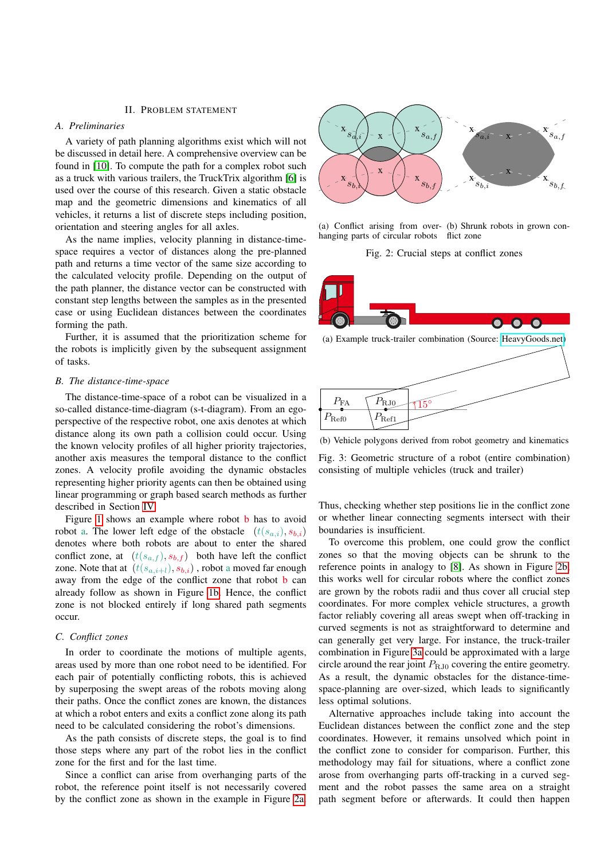#### II. PROBLEM STATEMENT

#### <span id="page-1-0"></span>*A. Preliminaries*

A variety of path planning algorithms exist which will not be discussed in detail here. A comprehensive overview can be found in [\[10\]](#page-5-9). To compute the path for a complex robot such as a truck with various trailers, the TruckTrix algorithm [\[6\]](#page-5-5) is used over the course of this research. Given a static obstacle map and the geometric dimensions and kinematics of all vehicles, it returns a list of discrete steps including position, orientation and steering angles for all axles.

As the name implies, velocity planning in distance-timespace requires a vector of distances along the pre-planned path and returns a time vector of the same size according to the calculated velocity profile. Depending on the output of the path planner, the distance vector can be constructed with constant step lengths between the samples as in the presented case or using Euclidean distances between the coordinates forming the path.

Further, it is assumed that the prioritization scheme for the robots is implicitly given by the subsequent assignment of tasks.

#### *B. The distance-time-space*

The distance-time-space of a robot can be visualized in a so-called distance-time-diagram (s-t-diagram). From an egoperspective of the respective robot, one axis denotes at which distance along its own path a collision could occur. Using the known velocity profiles of all higher priority trajectories, another axis measures the temporal distance to the conflict zones. A velocity profile avoiding the dynamic obstacles representing higher priority agents can then be obtained using linear programming or graph based search methods as further described in Section [IV.](#page-3-0)

Figure [1](#page-0-0) shows an example where robot **b** has to avoid robot a. The lower left edge of the obstacle  $(t(s_{a,i}), s_{b,i})$ denotes where both robots are about to enter the shared conflict zone, at  $(t(s_{a,f}), s_{b,f})$  both have left the conflict zone. Note that at  $(t(s_{a,i+l}), s_{b,i})$ , robot a moved far enough away from the edge of the conflict zone that robot b can already follow as shown in Figure [1b.](#page-0-0) Hence, the conflict zone is not blocked entirely if long shared path segments occur.

## <span id="page-1-3"></span>*C. Conflict zones*

In order to coordinate the motions of multiple agents, areas used by more than one robot need to be identified. For each pair of potentially conflicting robots, this is achieved by superposing the swept areas of the robots moving along their paths. Once the conflict zones are known, the distances at which a robot enters and exits a conflict zone along its path need to be calculated considering the robot's dimensions.

As the path consists of discrete steps, the goal is to find those steps where any part of the robot lies in the conflict zone for the first and for the last time.

Since a conflict can arise from overhanging parts of the robot, the reference point itself is not necessarily covered by the conflict zone as shown in the example in Figure [2a.](#page-1-1)

<span id="page-1-1"></span>

(a) Conflict arising from over-(b) Shrunk robots in grown conhanging parts of circular robots flict zone

Fig. 2: Crucial steps at conflict zones

<span id="page-1-2"></span>

(a) Example truck-trailer combination (Source: [HeavyGoods.net\)](https://www.heavygoods.net)



(b) Vehicle polygons derived from robot geometry and kinematics

Fig. 3: Geometric structure of a robot (entire combination) consisting of multiple vehicles (truck and trailer)

Thus, checking whether step positions lie in the conflict zone or whether linear connecting segments intersect with their boundaries is insufficient.

To overcome this problem, one could grow the conflict zones so that the moving objects can be shrunk to the reference points in analogy to [\[8\]](#page-5-7). As shown in Figure [2b,](#page-1-1) this works well for circular robots where the conflict zones are grown by the robots radii and thus cover all crucial step coordinates. For more complex vehicle structures, a growth factor reliably covering all areas swept when off-tracking in curved segments is not as straightforward to determine and can generally get very large. For instance, the truck-trailer combination in Figure [3a](#page-1-2) could be approximated with a large circle around the rear joint  $P_{R, I0}$  covering the entire geometry. As a result, the dynamic obstacles for the distance-timespace-planning are over-sized, which leads to significantly less optimal solutions.

Alternative approaches include taking into account the Euclidean distances between the conflict zone and the step coordinates. However, it remains unsolved which point in the conflict zone to consider for comparison. Further, this methodology may fail for situations, where a conflict zone arose from overhanging parts off-tracking in a curved segment and the robot passes the same area on a straight path segment before or afterwards. It could then happen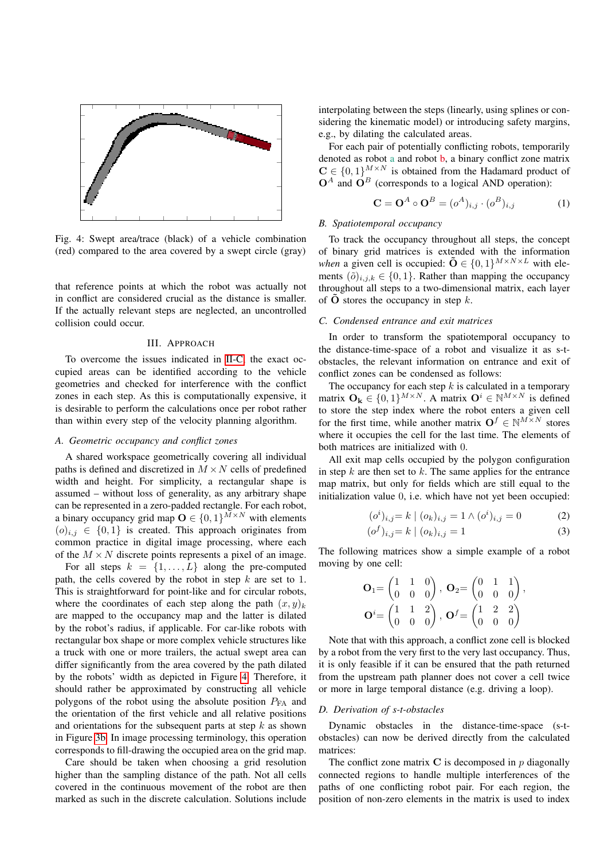<span id="page-2-1"></span>

Fig. 4: Swept area/trace (black) of a vehicle combination (red) compared to the area covered by a swept circle (gray)

that reference points at which the robot was actually not in conflict are considered crucial as the distance is smaller. If the actually relevant steps are neglected, an uncontrolled collision could occur.

### III. APPROACH

<span id="page-2-0"></span>To overcome the issues indicated in [II-C,](#page-1-3) the exact occupied areas can be identified according to the vehicle geometries and checked for interference with the conflict zones in each step. As this is computationally expensive, it is desirable to perform the calculations once per robot rather than within every step of the velocity planning algorithm.

## *A. Geometric occupancy and conflict zones*

A shared workspace geometrically covering all individual paths is defined and discretized in  $M \times N$  cells of predefined width and height. For simplicity, a rectangular shape is assumed – without loss of generality, as any arbitrary shape can be represented in a zero-padded rectangle. For each robot, a binary occupancy grid map  $\mathbf{O} \in \{0, 1\}^{M \times N}$  with elements  $(o)_{i,j} \in \{0,1\}$  is created. This approach originates from common practice in digital image processing, where each of the  $M \times N$  discrete points represents a pixel of an image.

For all steps  $k = \{1, ..., L\}$  along the pre-computed path, the cells covered by the robot in step  $k$  are set to 1. This is straightforward for point-like and for circular robots, where the coordinates of each step along the path  $(x, y)_k$ are mapped to the occupancy map and the latter is dilated by the robot's radius, if applicable. For car-like robots with rectangular box shape or more complex vehicle structures like a truck with one or more trailers, the actual swept area can differ significantly from the area covered by the path dilated by the robots' width as depicted in Figure [4.](#page-2-1) Therefore, it should rather be approximated by constructing all vehicle polygons of the robot using the absolute position  $P_{FA}$  and the orientation of the first vehicle and all relative positions and orientations for the subsequent parts at step  $k$  as shown in Figure [3b.](#page-1-2) In image processing terminology, this operation corresponds to fill-drawing the occupied area on the grid map.

Care should be taken when choosing a grid resolution higher than the sampling distance of the path. Not all cells covered in the continuous movement of the robot are then marked as such in the discrete calculation. Solutions include interpolating between the steps (linearly, using splines or considering the kinematic model) or introducing safety margins, e.g., by dilating the calculated areas.

For each pair of potentially conflicting robots, temporarily denoted as robot a and robot b, a binary conflict zone matrix  $C \in \{0,1\}^{M \times N}$  is obtained from the Hadamard product of  $O^A$  and  $O^B$  (corresponds to a logical AND operation):

$$
\mathbf{C} = \mathbf{O}^A \circ \mathbf{O}^B = (o^A)_{i,j} \cdot (o^B)_{i,j} \tag{1}
$$

## *B. Spatiotemporal occupancy*

To track the occupancy throughout all steps, the concept of binary grid matrices is extended with the information *when* a given cell is occupied:  $\tilde{\mathbf{O}} \in \{0, 1\}^{M \times N \times L}$  with elements  $(\tilde{o})_{i,j,k} \in \{0,1\}$ . Rather than mapping the occupancy throughout all steps to a two-dimensional matrix, each layer of  $\bf{O}$  stores the occupancy in step k.

## *C. Condensed entrance and exit matrices*

In order to transform the spatiotemporal occupancy to the distance-time-space of a robot and visualize it as s-tobstacles, the relevant information on entrance and exit of conflict zones can be condensed as follows:

The occupancy for each step  $k$  is calculated in a temporary matrix  $\mathbf{O}_{k} \in \{0,1\}^{M \times N}$ . A matrix  $\mathbf{O}^{i} \in \mathbb{N}^{M \times N}$  is defined to store the step index where the robot enters a given cell for the first time, while another matrix  $\mathbf{O}^f \in \mathbb{N}^{M \times N}$  stores where it occupies the cell for the last time. The elements of both matrices are initialized with 0.

All exit map cells occupied by the polygon configuration in step  $k$  are then set to  $k$ . The same applies for the entrance map matrix, but only for fields which are still equal to the initialization value 0, i.e. which have not yet been occupied:

$$
(o^{i})_{i,j} = k \mid (o_{k})_{i,j} = 1 \land (o^{i})_{i,j} = 0
$$
 (2)

$$
(\sigma^f)_{i,j} = k \mid (\sigma_k)_{i,j} = 1 \tag{3}
$$

The following matrices show a simple example of a robot moving by one cell:

$$
\mathbf{O}_1 = \begin{pmatrix} 1 & 1 & 0 \\ 0 & 0 & 0 \end{pmatrix}, \ \mathbf{O}_2 = \begin{pmatrix} 0 & 1 & 1 \\ 0 & 0 & 0 \end{pmatrix}, \\ \mathbf{O}^i = \begin{pmatrix} 1 & 1 & 2 \\ 0 & 0 & 0 \end{pmatrix}, \ \mathbf{O}^f = \begin{pmatrix} 1 & 2 & 2 \\ 0 & 0 & 0 \end{pmatrix}
$$

Note that with this approach, a conflict zone cell is blocked by a robot from the very first to the very last occupancy. Thus, it is only feasible if it can be ensured that the path returned from the upstream path planner does not cover a cell twice or more in large temporal distance (e.g. driving a loop).

## <span id="page-2-2"></span>*D. Derivation of s-t-obstacles*

Dynamic obstacles in the distance-time-space (s-tobstacles) can now be derived directly from the calculated matrices:

The conflict zone matrix  $C$  is decomposed in  $p$  diagonally connected regions to handle multiple interferences of the paths of one conflicting robot pair. For each region, the position of non-zero elements in the matrix is used to index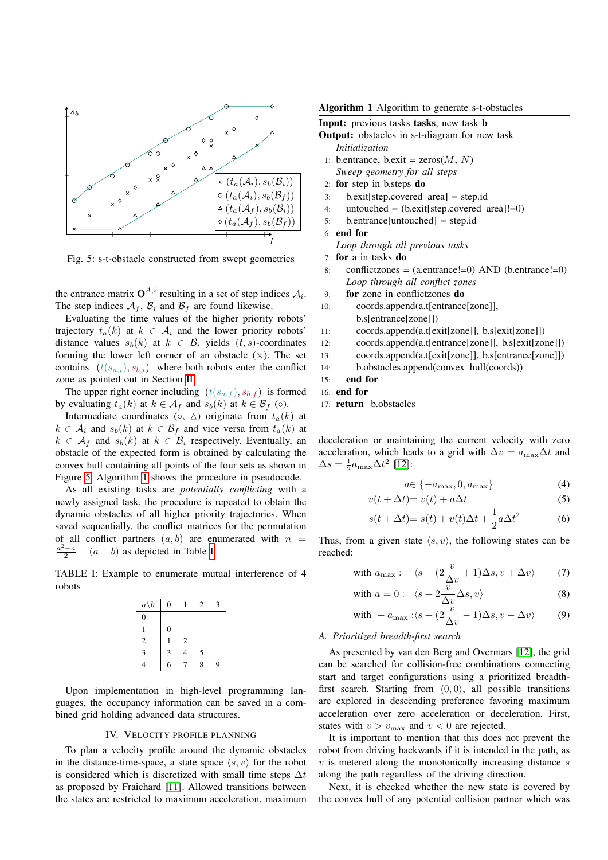<span id="page-3-1"></span>

Fig. 5: s-t-obstacle constructed from swept geometries

the entrance matrix  $\mathbf{O}^{A,i}$  resulting in a set of step indices  $A_i$ . The step indices  $A_f$ ,  $B_i$  and  $B_f$  are found likewise.

Evaluating the time values of the higher priority robots' trajectory  $t_a(k)$  at  $k \in A_i$  and the lower priority robots' distance values  $s_b(k)$  at  $k \in \mathcal{B}_i$  yields  $(t, s)$ -coordinates forming the lower left corner of an obstacle  $(x)$ . The set contains  $(t(s_{a,i}), s_{b,i})$  where both robots enter the conflict zone as pointed out in Section [II.](#page-1-0)

The upper right corner including  $(t(s_{a,f}), s_{b,f})$  is formed by evaluating  $t_a(k)$  at  $k \in A_f$  and  $s_b(k)$  at  $k \in B_f$  ( $\diamond$ ).

Intermediate coordinates (○, △) originate from  $t_a(k)$  at  $k \in \mathcal{A}_i$  and  $s_b(k)$  at  $k \in \mathcal{B}_f$  and vice versa from  $t_a(k)$  at  $k \in A_f$  and  $s_b(k)$  at  $k \in B_i$  respectively. Eventually, an obstacle of the expected form is obtained by calculating the convex hull containing all points of the four sets as shown in Figure [5.](#page-3-1) Algorithm [1](#page-3-2) shows the procedure in pseudocode.

As all existing tasks are *potentially conflicting* with a newly assigned task, the procedure is repeated to obtain the dynamic obstacles of all higher priority trajectories. When saved sequentially, the conflict matrices for the permutation of all conflict partners  $(a, b)$  are enumerated with  $n =$  $\frac{a^2+a}{2}$  –  $(a - b)$  as depicted in Table [I:](#page-3-3)

<span id="page-3-3"></span>TABLE I: Example to enumerate mutual interference of 4 robots

| $a\backslash b$ | 0 |                | 2 |   |
|-----------------|---|----------------|---|---|
| $\Omega$        |   |                |   |   |
|                 | 0 |                |   |   |
| 2               |   | $\overline{c}$ |   |   |
| 3               | 3 | 4              | 5 |   |
|                 | 6 | 7              | 8 | 9 |

Upon implementation in high-level programming languages, the occupancy information can be saved in a combined grid holding advanced data structures.

#### IV. VELOCITY PROFILE PLANNING

<span id="page-3-0"></span>To plan a velocity profile around the dynamic obstacles in the distance-time-space, a state space  $\langle s, v \rangle$  for the robot is considered which is discretized with small time steps  $\Delta t$ as proposed by Fraichard [\[11\]](#page-5-10). Allowed transitions between the states are restricted to maximum acceleration, maximum <span id="page-3-2"></span>Algorithm 1 Algorithm to generate s-t-obstacles

Input: previous tasks tasks, new task b

Output: obstacles in s-t-diagram for new task *Initialization*

- 1: b.entrance, b.exit =  $\text{zeros}(M, N)$ *Sweep geometry for all steps*
- 2: for step in b.steps do
- 3: b.exit[step.covered area] = step.id
- 4: untouched =  $(b.ex \text{ it [step.covered area]}!=0)$
- 5: b.entrance[untouched] = step.id

6: end for

*Loop through all previous tasks*

- 7: for a in tasks do
- 8: conflictzones =  $(a.\text{entrance}!=0)$  AND  $(b.\text{entrance}!=0)$ *Loop through all conflict zones*
- 9: for zone in conflictzones do
- 10: coords.append(a.t[entrance[zone]], b.s[entrance[zone]])
- 11: coords.append(a.t[exit[zone]], b.s[exit[zone]])
- 12: coords.append(a.t[entrance[zone]], b.s[exit[zone]])
- 13: coords.append(a.t[exit[zone]], b.s[entrance[zone]])
- 14: b.obstacles.append(convex hull(coords))

#### 15: end for

16: end for

17: return b.obstacles

deceleration or maintaining the current velocity with zero acceleration, which leads to a grid with  $\Delta v = a_{\text{max}}\Delta t$  and  $\Delta s = \frac{1}{2} a_{\text{max}} \Delta t^2$  [\[12\]](#page-5-11):

$$
a \in \{-a_{\max}, 0, a_{\max}\}\tag{4}
$$

$$
v(t + \Delta t) = v(t) + a\Delta t \tag{5}
$$

$$
s(t + \Delta t) = s(t) + v(t)\Delta t + \frac{1}{2}a\Delta t^2
$$
 (6)

Thus, from a given state  $\langle s, v \rangle$ , the following states can be reached:

with 
$$
a_{\text{max}}
$$
:  $\langle s + (2\frac{v}{\Delta v} + 1)\Delta s, v + \Delta v \rangle$  (7)

with 
$$
a = 0: \langle s + 2 \frac{\overline{v}}{\Delta v} \Delta s, v \rangle
$$
 (8)

with 
$$
-a_{\text{max}}: (s + (2\frac{v}{\Delta v} - 1)\Delta s, v - \Delta v)
$$
 (9)

#### *A. Prioritized breadth-first search*

As presented by van den Berg and Overmars [\[12\]](#page-5-11), the grid can be searched for collision-free combinations connecting start and target configurations using a prioritized breadthfirst search. Starting from  $(0, 0)$ , all possible transitions are explored in descending preference favoring maximum acceleration over zero acceleration or deceleration. First, states with  $v > v_{\text{max}}$  and  $v < 0$  are rejected.

It is important to mention that this does not prevent the robot from driving backwards if it is intended in the path, as  $v$  is metered along the monotonically increasing distance  $s$ along the path regardless of the driving direction.

Next, it is checked whether the new state is covered by the convex hull of any potential collision partner which was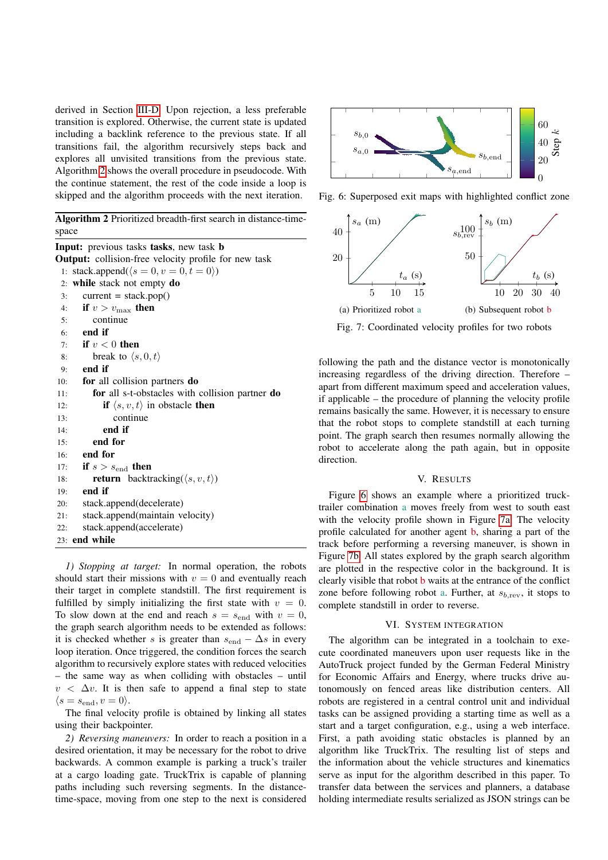derived in Section [III-D.](#page-2-2) Upon rejection, a less preferable transition is explored. Otherwise, the current state is updated including a backlink reference to the previous state. If all transitions fail, the algorithm recursively steps back and explores all unvisited transitions from the previous state. Algorithm [2](#page-4-0) shows the overall procedure in pseudocode. With the continue statement, the rest of the code inside a loop is skipped and the algorithm proceeds with the next iteration.

<span id="page-4-0"></span>Algorithm 2 Prioritized breadth-first search in distance-timespace

Input: previous tasks tasks, new task b Output: collision-free velocity profile for new task 1: stack.append( $\langle s = 0, v = 0, t = 0 \rangle$ ) 2: while stack not empty do  $3:$  current = stack.pop() 4: if  $v > v_{\text{max}}$  then 5: continue 6: end if 7: if  $v < 0$  then 8: break to  $\langle s, 0, t \rangle$ 9: end if 10: for all collision partners do 11: for all s-t-obstacles with collision partner do 12: **if**  $\langle s, v, t \rangle$  in obstacle **then** 13: continue 14: end if 15: end for 16: end for 17: if  $s > s_{\text{end}}$  then 18: **return** backtracking( $\langle s, v, t \rangle$ ) 19: end if 20: stack.append(decelerate) 21: stack.append(maintain velocity) 22: stack.append(accelerate) 23: end while

*1) Stopping at target:* In normal operation, the robots should start their missions with  $v = 0$  and eventually reach their target in complete standstill. The first requirement is fulfilled by simply initializing the first state with  $v = 0$ . To slow down at the end and reach  $s = s<sub>end</sub>$  with  $v = 0$ , the graph search algorithm needs to be extended as follows: it is checked whether s is greater than  $s_{end} - \Delta s$  in every loop iteration. Once triggered, the condition forces the search algorithm to recursively explore states with reduced velocities – the same way as when colliding with obstacles – until  $v < \Delta v$ . It is then safe to append a final step to state  $\langle s = s_{\text{end}}, v = 0 \rangle.$ 

The final velocity profile is obtained by linking all states using their backpointer.

*2) Reversing maneuvers:* In order to reach a position in a desired orientation, it may be necessary for the robot to drive backwards. A common example is parking a truck's trailer at a cargo loading gate. TruckTrix is capable of planning paths including such reversing segments. In the distancetime-space, moving from one step to the next is considered

<span id="page-4-1"></span>

Fig. 6: Superposed exit maps with highlighted conflict zone



Fig. 7: Coordinated velocity profiles for two robots

following the path and the distance vector is monotonically increasing regardless of the driving direction. Therefore – apart from different maximum speed and acceleration values, if applicable – the procedure of planning the velocity profile remains basically the same. However, it is necessary to ensure that the robot stops to complete standstill at each turning point. The graph search then resumes normally allowing the robot to accelerate along the path again, but in opposite direction.

## V. RESULTS

Figure [6](#page-4-1) shows an example where a prioritized trucktrailer combination a moves freely from west to south east with the velocity profile shown in Figure [7a.](#page-4-1) The velocity profile calculated for another agent b, sharing a part of the track before performing a reversing maneuver, is shown in Figure [7b.](#page-4-1) All states explored by the graph search algorithm are plotted in the respective color in the background. It is clearly visible that robot b waits at the entrance of the conflict zone before following robot a. Further, at  $s_{b,\text{rev}}$ , it stops to complete standstill in order to reverse.

#### VI. SYSTEM INTEGRATION

The algorithm can be integrated in a toolchain to execute coordinated maneuvers upon user requests like in the AutoTruck project funded by the German Federal Ministry for Economic Affairs and Energy, where trucks drive autonomously on fenced areas like distribution centers. All robots are registered in a central control unit and individual tasks can be assigned providing a starting time as well as a start and a target configuration, e.g., using a web interface. First, a path avoiding static obstacles is planned by an algorithm like TruckTrix. The resulting list of steps and the information about the vehicle structures and kinematics serve as input for the algorithm described in this paper. To transfer data between the services and planners, a database holding intermediate results serialized as JSON strings can be